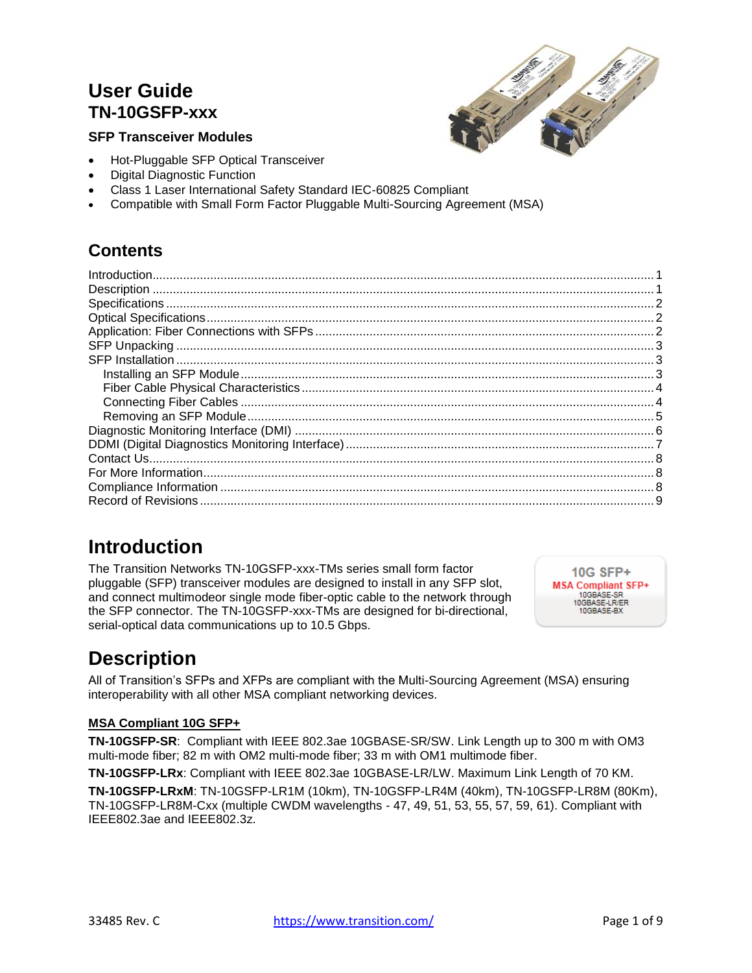## **User Guide TN-10GSFP-xxx**





- Hot-Pluggable SFP Optical Transceiver
- Digital Diagnostic Function
- Class 1 Laser International Safety Standard IEC-60825 Compliant
- Compatible with Small Form Factor Pluggable Multi-Sourcing Agreement (MSA)

## **Contents**

## <span id="page-0-0"></span>**Introduction**

The Transition Networks TN-10GSFP-xxx-TMs series small form factor pluggable (SFP) transceiver modules are designed to install in any SFP slot, and connect multimodeor single mode fiber-optic cable to the network through the SFP connector. The TN-10GSFP-xxx-TMs are designed for bi-directional, serial-optical data communications up to 10.5 Gbps.

**10G SFP+ MSA Compliant SFP+** 10GBASE-SR 10GBASE-LR/ER<br>10GBASE-BX

# <span id="page-0-1"></span>**Description**

All of Transition's SFPs and XFPs are compliant with the Multi-Sourcing Agreement (MSA) ensuring interoperability with all other MSA compliant networking devices.

### **MSA Compliant 10G SFP+**

**TN-10GSFP-SR**: Compliant with IEEE 802.3ae 10GBASE-SR/SW. Link Length up to 300 m with OM3 multi-mode fiber; 82 m with OM2 multi-mode fiber; 33 m with OM1 multimode fiber.

**TN-10GSFP-LRx**: Compliant with IEEE 802.3ae 10GBASE-LR/LW. Maximum Link Length of 70 KM. **TN-10GSFP-LRxM**: TN-10GSFP-LR1M (10km), TN-10GSFP-LR4M (40km), TN-10GSFP-LR8M (80Km), TN-10GSFP-LR8M-Cxx (multiple CWDM wavelengths - 47, 49, 51, 53, 55, 57, 59, 61). Compliant with IEEE802.3ae and IEEE802.3z.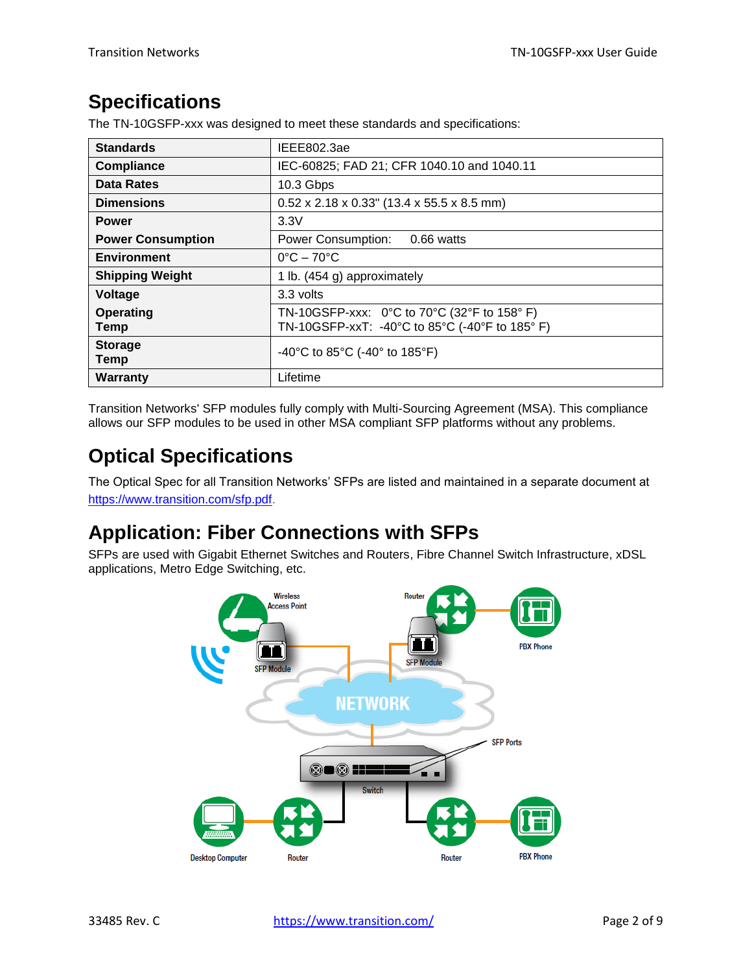## <span id="page-1-0"></span>**Specifications**

The TN-10GSFP-xxx was designed to meet these standards and specifications:

| <b>Standards</b>         | IEEE802.3ae                                                                                                                            |
|--------------------------|----------------------------------------------------------------------------------------------------------------------------------------|
| <b>Compliance</b>        | IEC-60825; FAD 21; CFR 1040.10 and 1040.11                                                                                             |
| <b>Data Rates</b>        | 10.3 Gbps                                                                                                                              |
| <b>Dimensions</b>        | $0.52 \times 2.18 \times 0.33$ " (13.4 x 55.5 x 8.5 mm)                                                                                |
| <b>Power</b>             | 3.3V                                                                                                                                   |
| <b>Power Consumption</b> | 0.66 watts<br>Power Consumption:                                                                                                       |
| <b>Environment</b>       | $0^{\circ}$ C – 70 $^{\circ}$ C                                                                                                        |
| <b>Shipping Weight</b>   | 1 lb. (454 g) approximately                                                                                                            |
| Voltage                  | 3.3 volts                                                                                                                              |
| Operating<br>Temp        | TN-10GSFP-xxx: $0^{\circ}$ C to 70 $^{\circ}$ C (32 $^{\circ}$ F to 158 $^{\circ}$ F)<br>TN-10GSFP-xxT: -40°C to 85°C (-40°F to 185°F) |
| <b>Storage</b><br>Temp   | -40°C to 85°C (-40° to 185°F)                                                                                                          |
| Warranty                 | Lifetime                                                                                                                               |

Transition Networks' SFP modules fully comply with Multi-Sourcing Agreement (MSA). This compliance allows our SFP modules to be used in other MSA compliant SFP platforms without any problems.

# <span id="page-1-1"></span>**Optical Specifications**

The Optical Spec for all Transition Networks' SFPs are listed and maintained in a separate document at [https://www.transition.com/sfp.pdf.](https://www.transition.com/sfp.pdf)

# <span id="page-1-2"></span>**Application: Fiber Connections with SFPs**

SFPs are used with Gigabit Ethernet Switches and Routers, Fibre Channel Switch Infrastructure, xDSL applications, Metro Edge Switching, etc.

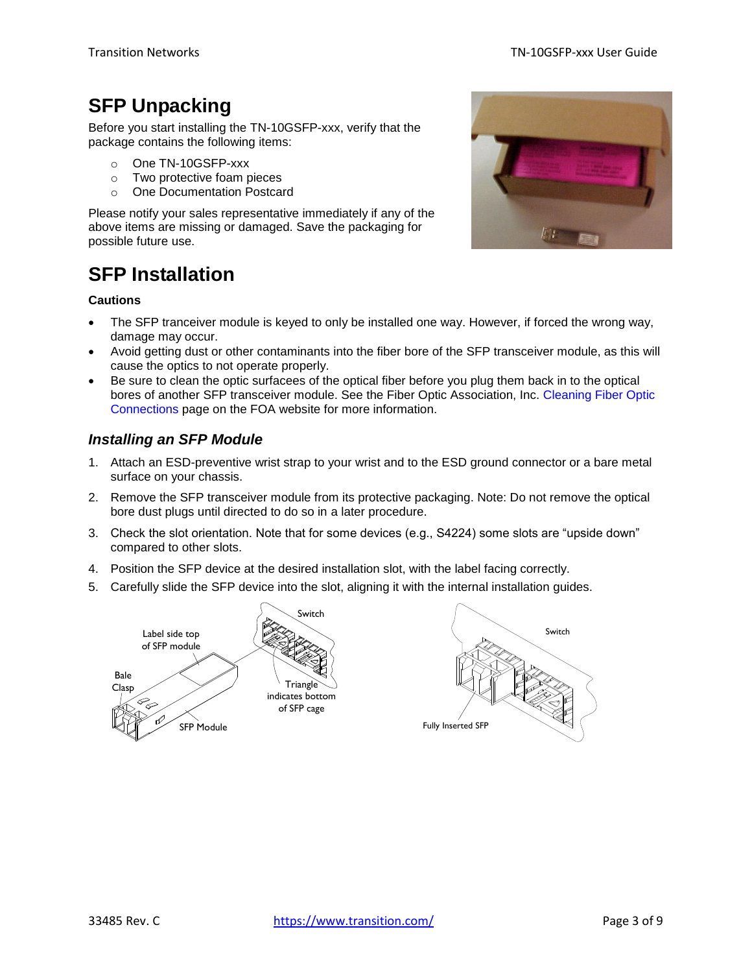# <span id="page-2-0"></span>**SFP Unpacking**

Before you start installing the TN-10GSFP-xxx, verify that the package contains the following items:

- o One TN-10GSFP-xxx
- o Two protective foam pieces
- o One Documentation Postcard

Please notify your sales representative immediately if any of the above items are missing or damaged. Save the packaging for possible future use.

# <span id="page-2-1"></span>**SFP Installation**

#### **Cautions**

- The SFP tranceiver module is keyed to only be installed one way. However, if forced the wrong way, damage may occur.
- Avoid getting dust or other contaminants into the fiber bore of the SFP transceiver module, as this will cause the optics to not operate properly.
- Be sure to clean the optic surfacees of the optical fiber before you plug them back in to the optical bores of another SFP transceiver module. See the Fiber Optic Association, Inc. [Cleaning Fiber Optic](file://///amber/Engineering/Install%20Manuals%20Folder/TECHNICAL%20DOCUMENTATION/33485%20TN-10GSFP-xxx-TMs/at%20www.thefoa.org/tech/ref/termination/cleaning.html)  [Connections](file://///amber/Engineering/Install%20Manuals%20Folder/TECHNICAL%20DOCUMENTATION/33485%20TN-10GSFP-xxx-TMs/at%20www.thefoa.org/tech/ref/termination/cleaning.html) page on the FOA website for more information.

### <span id="page-2-2"></span>*Installing an SFP Module*

- 1. Attach an ESD-preventive wrist strap to your wrist and to the ESD ground connector or a bare metal surface on your chassis.
- 2. Remove the SFP transceiver module from its protective packaging. Note: Do not remove the optical bore dust plugs until directed to do so in a later procedure.
- 3. Check the slot orientation. Note that for some devices (e.g., S4224) some slots are "upside down" compared to other slots.
- 4. Position the SFP device at the desired installation slot, with the label facing correctly.
- 5. Carefully slide the SFP device into the slot, aligning it with the internal installation guides.





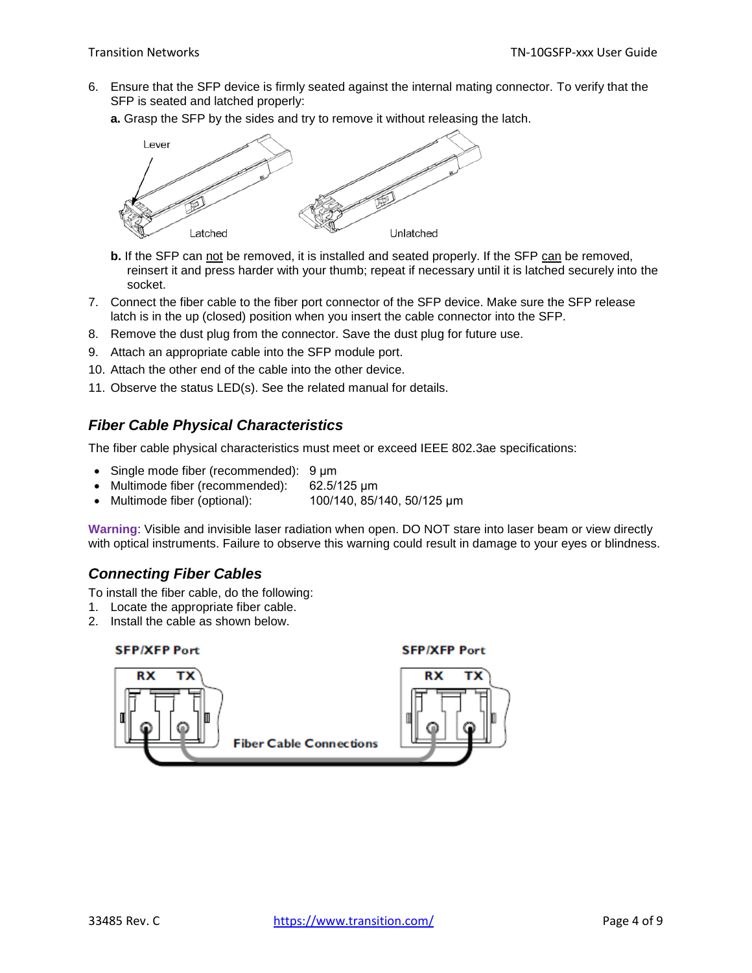6. Ensure that the SFP device is firmly seated against the internal mating connector. To verify that the SFP is seated and latched properly:

**a.** Grasp the SFP by the sides and try to remove it without releasing the latch.



- **b.** If the SFP can not be removed, it is installed and seated properly. If the SFP can be removed, reinsert it and press harder with your thumb; repeat if necessary until it is latched securely into the socket.
- 7. Connect the fiber cable to the fiber port connector of the SFP device. Make sure the SFP release latch is in the up (closed) position when you insert the cable connector into the SFP.
- 8. Remove the dust plug from the connector. Save the dust plug for future use.
- 9. Attach an appropriate cable into the SFP module port.
- 10. Attach the other end of the cable into the other device.
- 11. Observe the status LED(s). See the related manual for details.

### <span id="page-3-0"></span>*Fiber Cable Physical Characteristics*

The fiber cable physical characteristics must meet or exceed IEEE 802.3ae specifications:

- Single mode fiber (recommended): 9 μm
- Multimode fiber (recommended): 62.5/125 μm
- Multimode fiber (optional): 100/140, 85/140, 50/125 μm

**Warning**: Visible and invisible laser radiation when open. DO NOT stare into laser beam or view directly with optical instruments. Failure to observe this warning could result in damage to your eyes or blindness.

### <span id="page-3-1"></span>*Connecting Fiber Cables*

To install the fiber cable, do the following:

- 1. Locate the appropriate fiber cable.
- 2. Install the cable as shown below.

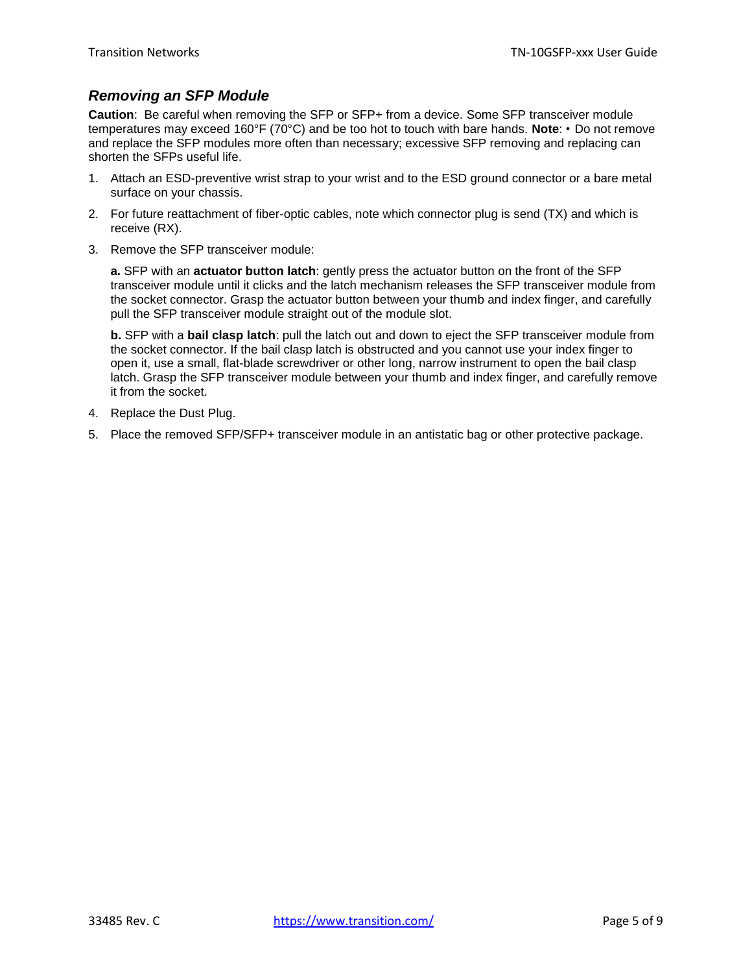### <span id="page-4-0"></span>*Removing an SFP Module*

**Caution**: Be careful when removing the SFP or SFP+ from a device. Some SFP transceiver module temperatures may exceed 160°F (70°C) and be too hot to touch with bare hands. **Note**: • Do not remove and replace the SFP modules more often than necessary; excessive SFP removing and replacing can shorten the SFPs useful life.

- 1. Attach an ESD-preventive wrist strap to your wrist and to the ESD ground connector or a bare metal surface on your chassis.
- 2. For future reattachment of fiber-optic cables, note which connector plug is send (TX) and which is receive (RX).
- 3. Remove the SFP transceiver module:

**a.** SFP with an **actuator button latch**: gently press the actuator button on the front of the SFP transceiver module until it clicks and the latch mechanism releases the SFP transceiver module from the socket connector. Grasp the actuator button between your thumb and index finger, and carefully pull the SFP transceiver module straight out of the module slot.

**b.** SFP with a **bail clasp latch**: pull the latch out and down to eject the SFP transceiver module from the socket connector. If the bail clasp latch is obstructed and you cannot use your index finger to open it, use a small, flat-blade screwdriver or other long, narrow instrument to open the bail clasp latch. Grasp the SFP transceiver module between your thumb and index finger, and carefully remove it from the socket.

- 4. Replace the Dust Plug.
- 5. Place the removed SFP/SFP+ transceiver module in an antistatic bag or other protective package.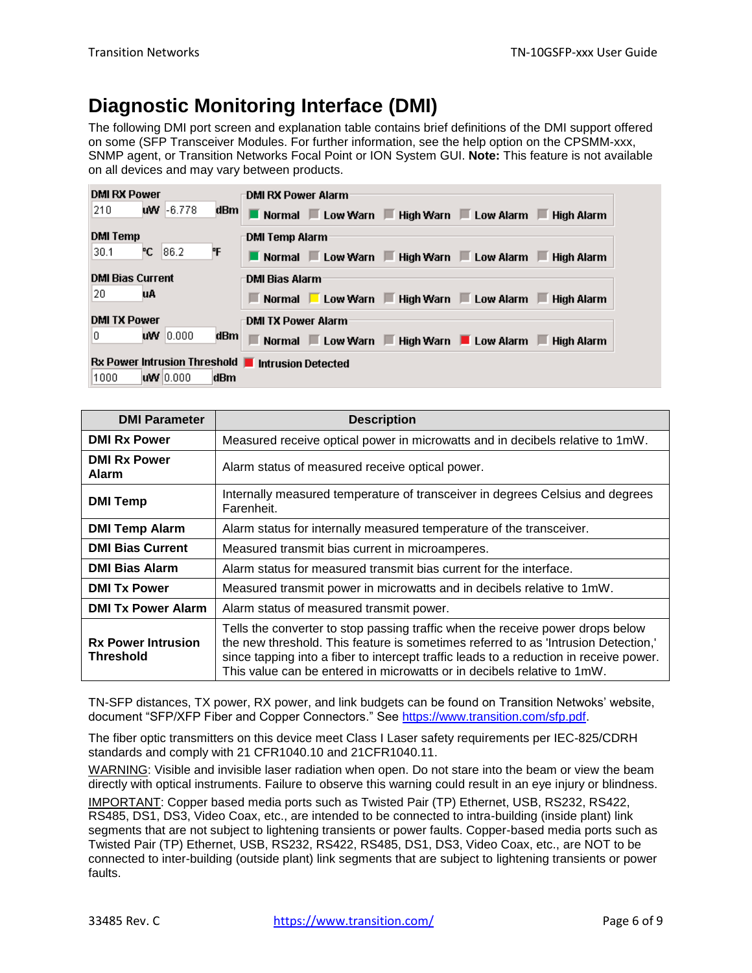# <span id="page-5-0"></span>**Diagnostic Monitoring Interface (DMI)**

The following DMI port screen and explanation table contains brief definitions of the DMI support offered on some (SFP Transceiver Modules. For further information, see the help option on the CPSMM-xxx, SNMP agent, or Transition Networks Focal Point or ION System GUI. **Note:** This feature is not available on all devices and may vary between products.

| <b>DMI RX Power</b>                               |      | <b>DMI RX Power Alarm</b>                                                                                  |
|---------------------------------------------------|------|------------------------------------------------------------------------------------------------------------|
| $WW - 6.778$<br>210                               | dBm∣ | Normal Low Warn High Warn Low Alarm High Alarm                                                             |
| <b>DMI Temp</b>                                   |      | DMI Temp Alarm                                                                                             |
| °С.<br>186.2<br>30.1                              | ۴F   | Normal Low Warn High Warn Low Alarm High Alarm                                                             |
| <b>DMI Bias Current</b>                           |      | <b>DMI Bias Alarm</b>                                                                                      |
| 20<br>uA                                          |      | ■ Normal ■ Low Warn ■ High Warn ■ Low Alarm ■ High Alarm                                                   |
| <b>DMI TX Power</b>                               |      | DMI TX Power Alarm                                                                                         |
| <b>uw</b> 0.000<br>0                              | dBm  | Normal $\blacksquare$ Low Warn $\blacksquare$ High Warn $\blacksquare$ Low Alarm $\blacksquare$ High Alarm |
| Rx Power Intrusion Threshold   Intrusion Detected |      |                                                                                                            |
| 1000<br>WW 0.000                                  | dBm  |                                                                                                            |

| <b>DMI Parameter</b>                   | <b>Description</b>                                                                                                                                                                                                                                                                                                                        |
|----------------------------------------|-------------------------------------------------------------------------------------------------------------------------------------------------------------------------------------------------------------------------------------------------------------------------------------------------------------------------------------------|
| <b>DMI Rx Power</b>                    | Measured receive optical power in microwatts and in decibels relative to 1mW.                                                                                                                                                                                                                                                             |
| <b>DMI Rx Power</b><br>Alarm           | Alarm status of measured receive optical power.                                                                                                                                                                                                                                                                                           |
| <b>DMI Temp</b>                        | Internally measured temperature of transceiver in degrees Celsius and degrees<br>Farenheit.                                                                                                                                                                                                                                               |
| <b>DMI Temp Alarm</b>                  | Alarm status for internally measured temperature of the transceiver.                                                                                                                                                                                                                                                                      |
| <b>DMI Bias Current</b>                | Measured transmit bias current in microamperes.                                                                                                                                                                                                                                                                                           |
| <b>DMI Bias Alarm</b>                  | Alarm status for measured transmit bias current for the interface.                                                                                                                                                                                                                                                                        |
| <b>DMI Tx Power</b>                    | Measured transmit power in microwatts and in decibels relative to 1mW.                                                                                                                                                                                                                                                                    |
| <b>DMI Tx Power Alarm</b>              | Alarm status of measured transmit power.                                                                                                                                                                                                                                                                                                  |
| <b>Rx Power Intrusion</b><br>Threshold | Tells the converter to stop passing traffic when the receive power drops below<br>the new threshold. This feature is sometimes referred to as 'Intrusion Detection,'<br>since tapping into a fiber to intercept traffic leads to a reduction in receive power.<br>This value can be entered in microwatts or in decibels relative to 1mW. |

TN-SFP distances, TX power, RX power, and link budgets can be found on Transition Netwoks' website, document "SFP/XFP Fiber and Copper Connectors." See [https://www.transition.com/sfp.pdf.](https://www.transition.com/sfp.pdf)

The fiber optic transmitters on this device meet Class I Laser safety requirements per IEC-825/CDRH standards and comply with 21 CFR1040.10 and 21CFR1040.11.

WARNING: Visible and invisible laser radiation when open. Do not stare into the beam or view the beam directly with optical instruments. Failure to observe this warning could result in an eye injury or blindness. IMPORTANT: Copper based media ports such as Twisted Pair (TP) Ethernet, USB, RS232, RS422, RS485, DS1, DS3, Video Coax, etc., are intended to be connected to intra-building (inside plant) link segments that are not subject to lightening transients or power faults. Copper-based media ports such as Twisted Pair (TP) Ethernet, USB, RS232, RS422, RS485, DS1, DS3, Video Coax, etc., are NOT to be connected to inter-building (outside plant) link segments that are subject to lightening transients or power faults.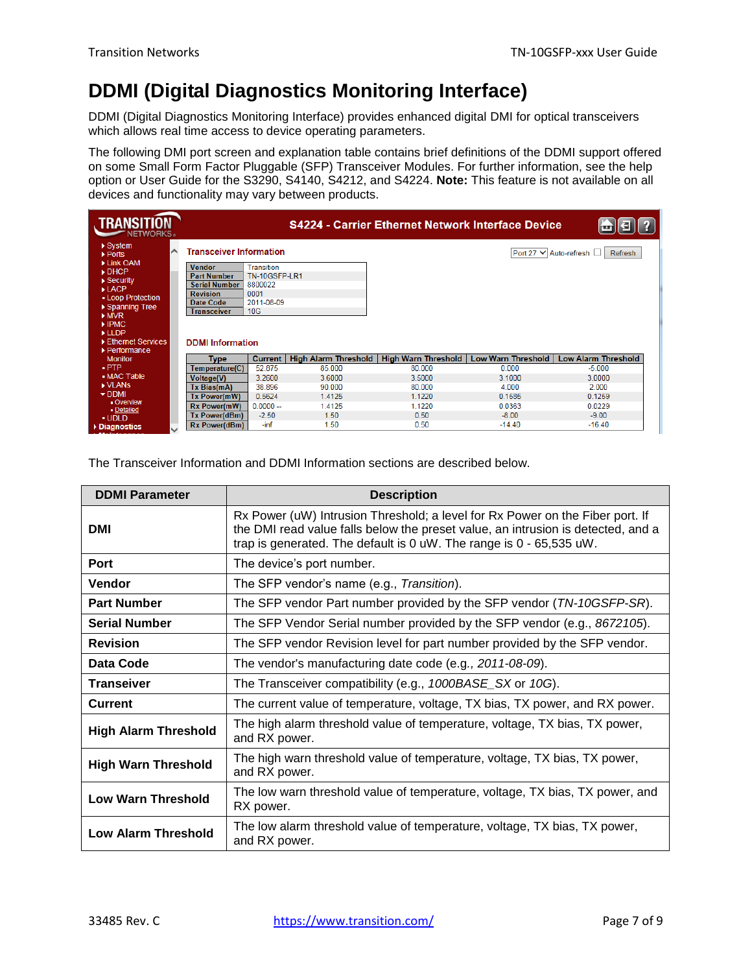# <span id="page-6-0"></span>**DDMI (Digital Diagnostics Monitoring Interface)**

DDMI (Digital Diagnostics Monitoring Interface) provides enhanced digital DMI for optical transceivers which allows real time access to device operating parameters.

The following DMI port screen and explanation table contains brief definitions of the DDMI support offered on some Small Form Factor Pluggable (SFP) Transceiver Modules. For further information, see the help option or User Guide for the S3290, S4140, S4212, and S4224. **Note:** This feature is not available on all devices and functionality may vary between products.

| <b>TRANSITI</b><br>IETWORKS.                            |                                     |                             |                             | <b>S4224 - Carrier Ethernet Network Interface Device</b> |                           |                                     |
|---------------------------------------------------------|-------------------------------------|-----------------------------|-----------------------------|----------------------------------------------------------|---------------------------|-------------------------------------|
| $\triangleright$ System<br>⌒<br>▶ Ports                 | <b>Transceiver Information</b>      |                             |                             |                                                          |                           | Port 27 V Auto-refresh □<br>Refresh |
| Link OAM<br>DHCP                                        | <b>Vendor</b><br><b>Part Number</b> | Transition<br>TN-10GSFP-LR1 |                             |                                                          |                           |                                     |
| $\triangleright$ Security<br>$\blacktriangleright$ LACP | <b>Serial Number</b>                | 8800022                     |                             |                                                          |                           |                                     |
| - Loop Protection                                       | <b>Revision</b><br>Date Code        | 0001<br>2011-08-09          |                             |                                                          |                           |                                     |
| ▶ Spanning Tree<br>MVR                                  | <b>Transceiver</b>                  | 10 <sub>G</sub>             |                             |                                                          |                           |                                     |
| $\blacktriangleright$ IPMC.<br>LLDP                     |                                     |                             |                             |                                                          |                           |                                     |
| Ethernet Services<br>$\blacktriangleright$ Performance  | <b>DDMI</b> Information             |                             |                             |                                                          |                           |                                     |
| <b>Monitor</b>                                          | Type                                | <b>Current</b>              | <b>High Alarm Threshold</b> | <b>High Warn Threshold</b>                               | <b>Low Warn Threshold</b> | <b>Low Alarm Threshold</b>          |
| $-$ PTP                                                 | Temperature(C)                      | 52.875                      | 85.000                      | 80.000                                                   | 0.000                     | $-5.000$                            |
| • MAC Table                                             | <b>Voltage(V)</b>                   | 3.2600                      | 3.6000                      | 3.5000                                                   | 3.1000                    | 3.0000                              |
| <b>NUANS</b>                                            | Tx Bias(mA)                         | 38.896                      | 90.000                      | 80.000                                                   | 4.000                     | 2.000                               |
| $\nabla$ DDMI                                           | Tx Power(mW)                        | 0.5624                      | 1.4125                      | 1.1220                                                   | 0.1585                    | 0.1259                              |
| - Overview<br>- Detailed                                | Rx Power(mW)                        | $0.0000 -$                  | 1.4125                      | 1.1220                                                   | 0.0363                    | 0.0229                              |
| <b>UDLD</b>                                             | Tx Power(dBm)                       | $-2.50$                     | 1.50                        | 0.50                                                     | $-8.00$                   | $-9.00$                             |
| Diagnostics<br>$\checkmark$                             | <b>Rx Power(dBm)</b>                | $-int$                      | 1.50                        | 0.50                                                     | $-14.40$                  | $-16.40$                            |

The Transceiver Information and DDMI Information sections are described below.

| <b>DDMI Parameter</b>       | <b>Description</b>                                                                                                                                                                                                                       |
|-----------------------------|------------------------------------------------------------------------------------------------------------------------------------------------------------------------------------------------------------------------------------------|
| <b>DMI</b>                  | Rx Power (uW) Intrusion Threshold; a level for Rx Power on the Fiber port. If<br>the DMI read value falls below the preset value, an intrusion is detected, and a<br>trap is generated. The default is 0 uW. The range is 0 - 65,535 uW. |
| Port                        | The device's port number.                                                                                                                                                                                                                |
| <b>Vendor</b>               | The SFP vendor's name (e.g., Transition).                                                                                                                                                                                                |
| <b>Part Number</b>          | The SFP vendor Part number provided by the SFP vendor (TN-10GSFP-SR).                                                                                                                                                                    |
| <b>Serial Number</b>        | The SFP Vendor Serial number provided by the SFP vendor (e.g., 8672105).                                                                                                                                                                 |
| <b>Revision</b>             | The SFP vendor Revision level for part number provided by the SFP vendor.                                                                                                                                                                |
| Data Code                   | The vendor's manufacturing date code (e.g., 2011-08-09).                                                                                                                                                                                 |
| <b>Transeiver</b>           | The Transceiver compatibility (e.g., 1000BASE_SX or 10G).                                                                                                                                                                                |
| Current                     | The current value of temperature, voltage, TX bias, TX power, and RX power.                                                                                                                                                              |
| <b>High Alarm Threshold</b> | The high alarm threshold value of temperature, voltage, TX bias, TX power,<br>and RX power.                                                                                                                                              |
| <b>High Warn Threshold</b>  | The high warn threshold value of temperature, voltage, TX bias, TX power,<br>and RX power.                                                                                                                                               |
| <b>Low Warn Threshold</b>   | The low warn threshold value of temperature, voltage, TX bias, TX power, and<br>RX power.                                                                                                                                                |
| <b>Low Alarm Threshold</b>  | The low alarm threshold value of temperature, voltage, TX bias, TX power,<br>and RX power.                                                                                                                                               |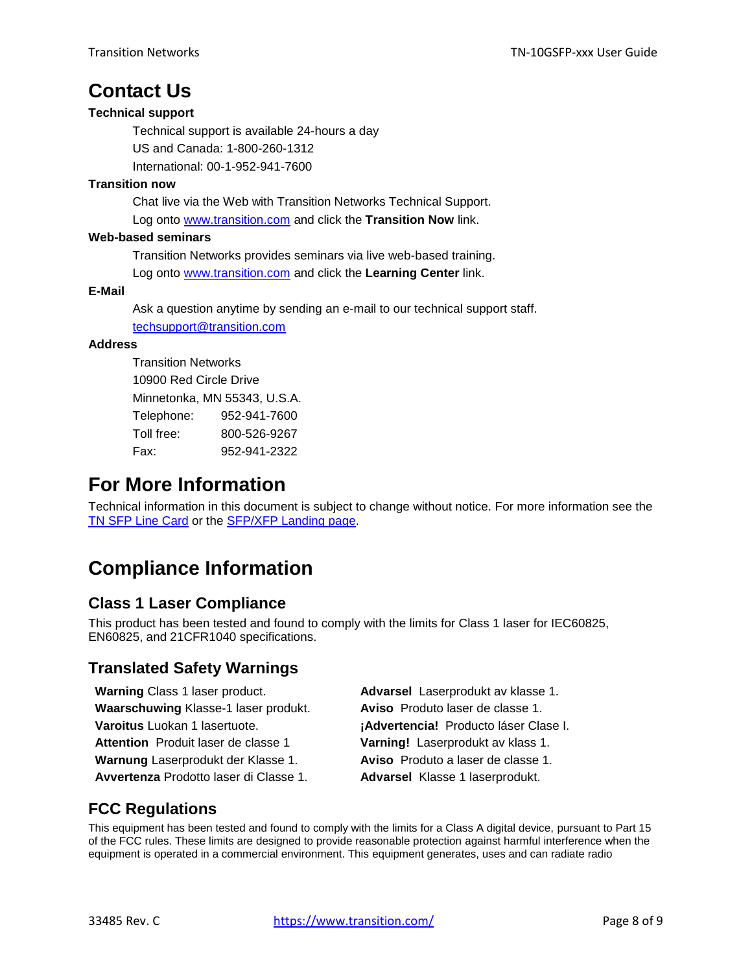## <span id="page-7-0"></span>**Contact Us**

#### **Technical support**

Technical support is available 24-hours a day US and Canada: 1-800-260-1312 International: 00-1-952-941-7600

#### **Transition now**

Chat live via the Web with Transition Networks Technical Support. Log onto [www.transition.com](http://www.transition.com/) and click the **Transition Now** link.

#### **Web-based seminars**

Transition Networks provides seminars via live web-based training. Log onto [www.transition.com](http://www.transition.com/) and click the **Learning Center** link.

#### **E-Mail**

Ask a question anytime by sending an e-mail to our technical support staff. [techsupport@transition.com](mailto:techsupport@transition.com)

#### **Address**

Transition Networks 10900 Red Circle Drive Minnetonka, MN 55343, U.S.A. Telephone: 952-941-7600 Toll free: 800-526-9267 Fax: 952-941-2322

## <span id="page-7-1"></span>**For More Information**

Technical information in this document is subject to change without notice. For more information see the [TN SFP Line](http://www.transition.com/TransitionNetworks/Uploads/Literature/SFP%20Line%20Card.pdf) Card or the [SFP/XFP Landing page.](http://www.transition.com/TransitionNetworks/Landing/SFP-XFP/SFP-XFP.aspx)

# <span id="page-7-2"></span>**Compliance Information**

### **Class 1 Laser Compliance**

This product has been tested and found to comply with the limits for Class 1 laser for IEC60825, EN60825, and 21CFR1040 specifications.

### **Translated Safety Warnings**

| Warning Class 1 laser product.         | <b>Advarsel Laser</b> |
|----------------------------------------|-----------------------|
| Waarschuwing Klasse-1 laser produkt.   | <b>Aviso Produto</b>  |
| Varoitus Luokan 1 lasertuote.          | ¡Advertencia!         |
| Attention Produit laser de classe 1    | Varning! Laser        |
| Warnung Laserprodukt der Klasse 1.     | <b>Aviso Produto</b>  |
| Avvertenza Prodotto laser di Classe 1. | <b>Advarsel Klass</b> |

rprodukt av klasse 1. laser de classe 1. **Producto láser Clase I. Atterion Produkt av klass 1.** a laser de classe 1. **Buree 1. laserprodukt.** 

### **FCC Regulations**

This equipment has been tested and found to comply with the limits for a Class A digital device, pursuant to Part 15 of the FCC rules. These limits are designed to provide reasonable protection against harmful interference when the equipment is operated in a commercial environment. This equipment generates, uses and can radiate radio